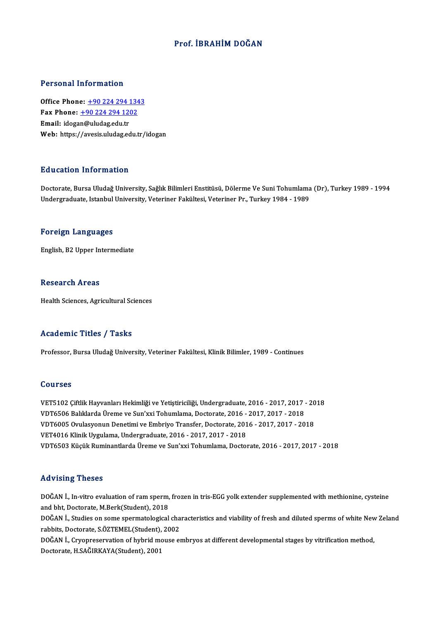### Prof. İBRAHİM DOĞAN

#### Personal Information

**Personal Information<br>Office Phone: +90 224 294 1343<br>Fax Phone: +90 224 294 1202** Fax Phone: <u>+90 224 294 134</u><br>Fax Phone: <u>+90 224 294 1202</u><br>Fmail: idesen@uludes.edu.tr Office Phone: <u>+90 224 294 1</u><br>Fax Phone: <u>+90 224 294 120</u><br>Email: idoga[n@uludag.edu.tr](tel:+90 224 294 1202) Fax Phone: <u>+90 224 294 1202</u><br>Email: idogan@uludag.edu.tr<br>Web: https://avesis.uludag.edu.tr/idogan

#### Education Information

<mark>Education Information</mark><br>Doctorate, Bursa Uludağ University, Sağlık Bilimleri Enstitüsü, Dölerme Ve Suni Tohumlama (Dr), Turkey 1989 - 1994<br>Undergraduate Istanbul University, Veteriner Felsültesi, Veteriner Pr., Turkey 1984 undergram TIII on III.<br>Doctorate, Bursa Uludağ University, Sağlık Bilimleri Enstitüsü, Dölerme Ve Suni Tohumlama<br>Undergraduate, Istanbul University, Veteriner Fakültesi, Veteriner Pr., Turkey 1984 - 1989 Undergraduate, Istanbul University, Veteriner Fakültesi, Veteriner Pr., Turkey 1984 - 1989<br>Foreign Languages

English,B2Upper Intermediate

#### **Research Areas**

Health Sciences, Agricultural Sciences

#### Academic Titles / Tasks

Professor, Bursa Uludağ University, Veteriner Fakültesi, Klinik Bilimler, 1989 - Continues

#### Courses

VET5102 Çiftlik Hayvanları Hekimliği ve Yetiştiriciliği, Undergraduate, 2016 - 2017, 2017 - 2018 VOT1999<br>VET5102 Çiftlik Hayvanları Hekimliği ve Yetiştiriciliği, Undergraduate, 2016 - 2017, 2017<br>VDT6506 Balıklarda Üreme ve Sun'xxi Tohumlama, Doctorate, 2016 - 2017, 2017 - 2018<br>VDT6005 Quylasyanun Denetimi ve Embriya T VDT6005 Ovulasyonun Denetimi ve Embriyo Transfer, Doctorate, 2016 - 2017, 2017 - 2018<br>VET4016 Klinik Uygulama, Undergraduate, 2016 - 2017, 2017 - 2018 VDT6506 Balıklarda Üreme ve Sun'xxi Tohumlama, Doctorate, 2016 -<br>VDT6005 Ovulasyonun Denetimi ve Embriyo Transfer, Doctorate, 201<br>VET4016 Klinik Uygulama, Undergraduate, 2016 - 2017, 2017 - 2018<br>VDT6503 Küçük Buminantlarda VDT6503KüçükRuminantlardaÜreme ve Sun'xxiTohumlama,Doctorate,2016 -2017,2017 -2018

#### Advising Theses

DOĞAN İ., In-vitro evaluation of ram sperm, frozen in tris-EGG yolk extender supplemented with methionine, cysteine and bht, Doctorate, M.Berk(Student), 2018 DOĞAN İ., In-vitro evaluation of ram sperm, frozen in tris-EGG yolk extender supplemented with methionine, cysteine<br>and bht, Doctorate, M.Berk(Student), 2018<br>DOĞAN İ., Studies on some spermatological characteristics and vi

and bht, Doctorate, M.Berk(Student), 2018<br>DOĞAN İ., Studies on some spermatological cha<br>rabbits, Doctorate, S.ÖZTEMEL(Student), 2002<br>DOĞAN İ. Gwenneservation of bybrid mouse et DOĞAN İ., Studies on some spermatological characteristics and viability of fresh and diluted sperms of white New<br>rabbits, Doctorate, S.ÖZTEMEL(Student), 2002<br>DOĞAN İ., Cryopreservation of hybrid mouse embryos at different

rabbits, Doctorate, S.ÖZTEMEL(Student),<br>DOĞAN İ., Cryopreservation of hybrid mo<br>Doctorate, H.SAĞIRKAYA(Student), 2001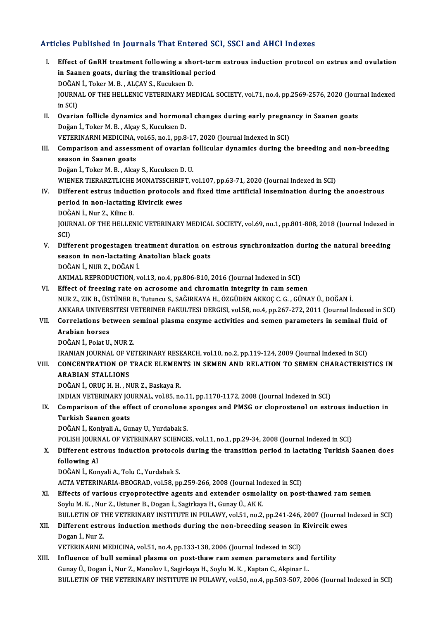### Articles Published in Journals That Entered SCI, SSCI and AHCI Indexes

rticles Published in Journals That Entered SCI, SSCI and AHCI Indexes<br>I. Effect of GnRH treatment following a short-term estrous induction protocol on estrus and ovulation<br>in Seepen geate, during the trensitional period Effect of GnRH treatment following a short-tern<br>in Saanen goats, during the transitional period<br>DOČAN L. Teker M. B., ALCAV S. Kugukeen D. Effect of GnRH treatment following a show<br>in Saanen goats, during the transitional<br>DOĞAN İ., Toker M. B. , ALÇAY S., Kucuksen D.<br>JOUPMAL OF THE HELLENIC VETERINARY ME in Saanen goats, during the transitional period<br>DOĞAN İ., Toker M. B. , ALÇAY S., Kucuksen D.<br>JOURNAL OF THE HELLENIC VETERINARY MEDICAL SOCIETY, vol.71, no.4, pp.2569-2576, 2020 (Journal Indexed<br>in SCI) DOĞAN<br>JOURNA<br>in SCI)<br>Overie JOURNAL OF THE HELLENIC VETERINARY MEDICAL SOCIETY, vol.71, no.4, pp.2569-2576, 2020 (Jour<br>in SCI)<br>II. Ovarian follicle dynamics and hormonal changes during early pregnancy in Saanen goats<br>Dožen <sup>i</sup>. Teken M. B., Akey S. K in SCI)<br><mark>Ovarian follicle dynamics and hormon</mark>:<br>Doğan İ., Toker M. B. , Alçay S., Kucuksen D.<br>VETERINARNI MEDICINA, vel 65, ng 1, nn 9 Ovarian follicle dynamics and hormonal changes during early pregna<br>Doğan İ., Toker M. B. , Alçay S., Kucuksen D.<br>VETERINARNI MEDICINA, vol.65, no.1, pp.8-17, 2020 (Journal Indexed in SCI)<br>Comparison and assessment of eveni Doğan İ., Toker M. B. , Alçay S., Kucuksen D.<br>VETERINARNI MEDICINA, vol.65, no.1, pp.8-17, 2020 (Journal Indexed in SCI)<br>III. Comparison and assessment of ovarian follicular dynamics during the breeding and non-breedin **VETERINARNI MEDICINA, v<br>Comparison and assessi<br>season in Saanen goats<br>Doğan <sup>i</sup>n Toker M. B. Alca** Comparison and assessment of ovarian 1<br>season in Saanen goats<br>Doğan İ., Toker M. B. , Alcay S., Kucuksen D. U.<br>WIENER TIERARZTI ICHE MONATSSCHRIET v season in Saanen goats<br>Doğan İ., Toker M. B. , Alcay S., Kucuksen D. U.<br>WIENER TIERARZTLICHE MONATSSCHRIFT, vol.107, pp.63-71, 2020 (Journal Indexed in SCI)<br>Different estrus industion protosols and fixed time artificial in Doğan İ., Toker M. B. , Alcay S., Kucuksen D. U.<br>WIENER TIERARZTLICHE MONATSSCHRIFT, vol.107, pp.63-71, 2020 (Journal Indexed in SCI)<br>IV. Different estrus induction protocols and fixed time artificial insemination duri WIENER TIERARZTLICHE MONATSSCHRIF<br>Different estrus induction protocols<br>period in non-lactating Kivircik ewes<br>DOČAN L. Nur.7, Kiling P Different estrus induct<br>period in non-lactating<br>DOĞAN İ., Nur Z., Kilinc B.<br>JOUPMAL OF THE HELLEN JOURNAL OF THE HELLENIC VETERINARY MEDICAL SOCIETY, vol.69, no.1, pp.801-808, 2018 (Journal Indexed in SCI) DOĞ.<br>JOUR<br>SCI)<br>Diffe JOURNAL OF THE HELLENIC VETERINARY MEDICAL SOCIETY, vol.69, no.1, pp.801-808, 2018 (Journal Indexed in SCI)<br>SCI)<br>V. Different progestagen treatment duration on estrous synchronization during the natural breeding<br>200000 in SCI)<br>Different progestagen treatment duration on<br>season in non-lactating Anatolian black goats<br>DOČAN L. NUR Z. DOČAN I Different progestagen tr<br>season in non-lactating *l*<br>DOĞAN İ., NUR Z., DOĞAN İ.<br>ANIMAL PEPPODUCTION ... season in non-lactating Anatolian black goats<br>DOĞAN İ., NUR Z., DOĞAN İ.<br>ANIMAL REPRODUCTION, vol.13, no.4, pp.806-810, 2016 (Journal Indexed in SCI) VI. Effect of freezing rate on acrosome and chromatin integrity in ramsemen NURZ.,ZIKB.,ÜSTÜNERB.,Tutuncu S.,SAĞIRKAYAH.,ÖZGÜDENAKKOÇC.G. ,GÜNAYÜ.,DOĞANİ. Effect of freezing rate on acrosome and chromatin integrity in ram semen<br>NUR Z., ZIK B., ÜSTÜNER B., Tutuncu S., SAĞIRKAYA H., ÖZGÜDEN AKKOÇ C. G. , GÜNAY Ü., DOĞAN İ.<br>ANKARA UNIVERSITESI VETERINER FAKULTESI DERGISI, vol.5 NUR Z., ZIK B., ÜSTÜNER B., Tutuncu S., SAĞIRKAYA H., ÖZGÜDEN AKKOÇ C. G. , GÜNAY Ü., DOĞAN İ.<br>ANKARA UNIVERSITESI VETERINER FAKULTESI DERGISI, vol.58, no.4, pp.267-272, 2011 (Journal Indexed in St<br>VII. Correlations be ANKARA UNIVERS<br>Correlations be<br>Arabian horses<br>DOČAN i - Polat II Correlations between s<br>Arabian horses<br>DOĞAN İ., Polat U., NUR Z.<br>IPANIAN JOUPNAL OF VE' Arabian horses<br>DOĞAN İ., Polat U., NUR Z.<br>IRANIAN JOURNAL OF VETERINARY RESEARCH, vol.10, no.2, pp.119-124, 2009 (Journal Indexed in SCI) VIII. CONCENTRATION OF TRACE ELEMENTS IN SEMEN AND RELATION TO SEMEN CHARACTERISTICS IN ARABIAN STALLIONS DOĞANİ.,ORUÇH.H. ,NURZ.,BaskayaR. ARABIAN STALLIONS<br>DOĞAN İ., ORUÇ H. H. , NUR Z., Baskaya R.<br>INDIAN VETERINARY JOURNAL, vol.85, no.11, pp.1170-1172, 2008 (Journal Indexed in SCI)<br>Comparison of the effect of sronolone sponges and BMSC or slappestanel on es DOĞAN İ., ORUÇ H. H. , NUR Z., Baskaya R.<br>INDIAN VETERINARY JOURNAL, vol.85, no.11, pp.1170-1172, 2008 (Journal Indexed in SCI)<br>IX. Comparison of the effect of cronolone sponges and PMSG or cloprostenol on estrous indu **INDIAN VETERINARY JOUNANY**<br>**Comparison of the eff<br>Turkish Saanen goats**<br>POČAN L Konkrali A. Gu Comparison of the effect of cronolone<br>Turkish Saanen goats<br>DOĞAN İ., Konlyali A., Gunay U., Yurdabak S.<br>POLISH JOUPNAL OF VETERINAPY SCIENCE Turkish Saanen goats<br>DOĞAN İ., Konlyali A., Gunay U., Yurdabak S.<br>POLISH JOURNAL OF VETERINARY SCIENCES, vol.11, no.1, pp.29-34, 2008 (Journal Indexed in SCI)<br>Different estreve industion protecels during the transition per DOĞAN İ., Konlyali A., Gunay U., Yurdabak S.<br>POLISH JOURNAL OF VETERINARY SCIENCES, vol.11, no.1, pp.29-34, 2008 (Journal Indexed in SCI)<br>X. Different estrous induction protocols during the transition period in lactati POLISH JOURN<br>Different est<br>following Al Different estrous induction protocol<br>following Al<br>DOĞAN İ., Konyali A., Tolu C., Yurdabak S.<br>ACTA VETERINARIA REOCRAD vel 59 pr following Al<br>DOĞAN İ., Konyali A., Tolu C., Yurdabak S.<br>ACTA VETERINARIA-BEOGRAD, vol.58, pp.259-266, 2008 (Journal Indexed in SCI)<br>Effects of various exvonnatastive agents and extender esmalality on nest DOĞAN İ., Konyali A., Tolu C., Yurdabak S.<br>ACTA VETERINARIA-BEOGRAD, vol.58, pp.259-266, 2008 (Journal Indexed in SCI)<br>XI. Effects of various cryoprotective agents and extender osmolality on post-thawed ram semen<br>Soylu M. ACTA VETERINARIA-BEOGRAD, vol.58, pp.259-266, 2008 (Journal Inc<br>Effects of various cryoprotective agents and extender osmola<br>Soylu M. K., Nur Z., Ustuner B., Dogan İ., Sagirkaya H., Gunay Ü., AK K.<br>PULLETIN OF THE VETERINA Effects of various cryoprotective agents and extender osmolality on post-thawed ram semen<br>Soylu M. K. , Nur Z., Ustuner B., Dogan İ., Sagirkaya H., Gunay Ü., AK K.<br>BULLETIN OF THE VETERINARY INSTITUTE IN PULAWY, vol.51, no Soylu M. K. , Nur Z., Ustuner B., Dogan İ., Sagirkaya H., Gunay Ü., AK K.<br>BULLETIN OF THE VETERINARY INSTITUTE IN PULAWY, vol.51, no.2, pp.241-246, 2007 (Journal I<br>XII. Different estrous induction methods during the no **BULLETIN OF T<br>Different estr<br>Dogan İ., Nur Z.<br>VETERIMARNI A** XII. Different estrous induction methods during the non-breeding season in Kivircik ewes<br>Dogan İ., Nur Z.<br>VETERINARNI MEDICINA, vol.51, no.4, pp.133-138, 2006 (Journal Indexed in SCI) XIII. Influence of bull seminal plasma on post-thaw ram semen parameters and fertility GunayÜ.,Doganİ.,Nur Z.,Manolov I.,SagirkayaH.,SoyluM.K. ,KaptanC.,Akpinar L. BULLETIN OF THE VETERINARY INSTITUTE IN PULAWY, vol.50, no.4, pp.503-507, 2006 (Journal Indexed in SCI)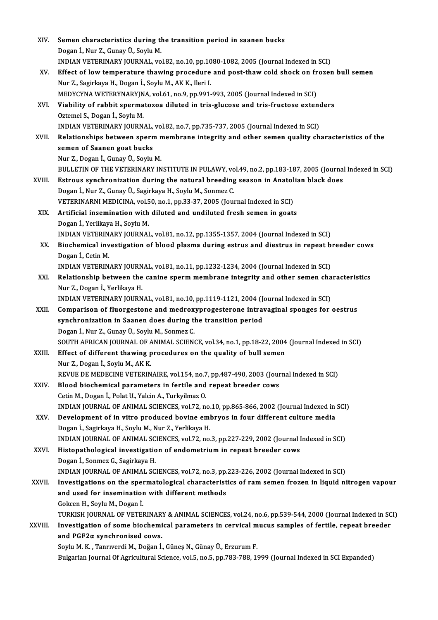| XIV.    | Semen characteristics during the transition period in saanen bucks                                                                        |
|---------|-------------------------------------------------------------------------------------------------------------------------------------------|
|         | Dogan İ., Nur Z., Gunay Ü., Soylu M.                                                                                                      |
|         | INDIAN VETERINARY JOURNAL, vol.82, no.10, pp.1080-1082, 2005 (Journal Indexed in SCI)                                                     |
| XV.     | Effect of low temperature thawing procedure and post-thaw cold shock on frozen bull semen                                                 |
|         | Nur Z., Sagirkaya H., Dogan İ., Soylu M., AK K., Ileri I.                                                                                 |
|         | MEDYCYNA WETERYNARYJNA, vol.61, no.9, pp.991-993, 2005 (Journal Indexed in SCI)                                                           |
| XVI.    | Viability of rabbit spermatozoa diluted in tris-glucose and tris-fructose extenders                                                       |
|         | Oztemel S., Dogan İ., Soylu M.                                                                                                            |
|         | INDIAN VETERINARY JOURNAL, vol.82, no.7, pp.735-737, 2005 (Journal Indexed in SCI)                                                        |
| XVII.   | Relationships between sperm membrane integrity and other semen quality characteristics of the                                             |
|         | semen of Saanen goat bucks                                                                                                                |
|         | Nur Z., Dogan İ., Gunay Ü., Soylu M.                                                                                                      |
|         | BULLETIN OF THE VETERINARY INSTITUTE IN PULAWY, vol.49, no.2, pp.183-187, 2005 (Journal Indexed in SCI)                                   |
| XVIII.  | Estrous synchronization during the natural breeding season in Anatolian black does                                                        |
|         | Dogan İ., Nur Z., Gunay Ü., Sagirkaya H., Soylu M., Sonmez C.                                                                             |
|         | VETERINARNI MEDICINA, vol.50, no.1, pp.33-37, 2005 (Journal Indexed in SCI)                                                               |
| XIX.    | Artificial insemination with diluted and undiluted fresh semen in goats<br>Dogan İ., Yerlikaya H., Soylu M.                               |
|         | INDIAN VETERINARY JOURNAL, vol.81, no.12, pp.1355-1357, 2004 (Journal Indexed in SCI)                                                     |
| XX.     | Biochemical investigation of blood plasma during estrus and diestrus in repeat breeder cows                                               |
|         | Dogan I, Cetin M.                                                                                                                         |
|         | INDIAN VETERINARY JOURNAL, vol.81, no.11, pp.1232-1234, 2004 (Journal Indexed in SCI)                                                     |
| XXI.    | Relationship between the canine sperm membrane integrity and other semen characteristics                                                  |
|         | Nur Z., Dogan İ., Yerlikaya H.                                                                                                            |
|         | INDIAN VETERINARY JOURNAL, vol.81, no.10, pp.1119-1121, 2004 (Journal Indexed in SCI)                                                     |
| XXII.   | Comparison of fluorgestone and medroxyprogesterone intravaginal sponges for oestrus                                                       |
|         | synchronization in Saanen does during the transition period                                                                               |
|         | Dogan İ., Nur Z., Gunay Ü., Soylu M., Sonmez C.                                                                                           |
|         | SOUTH AFRICAN JOURNAL OF ANIMAL SCIENCE, vol.34, no.1, pp.18-22, 2004 (Journal Indexed in SCI)                                            |
| XXIII.  | Effect of different thawing procedures on the quality of bull semen                                                                       |
|         | Nur Z., Dogan İ., Soylu M., AK K.                                                                                                         |
|         | REVUE DE MEDECINE VETERINAIRE, vol.154, no.7, pp.487-490, 2003 (Journal Indexed in SCI)                                                   |
| XXIV.   | Blood biochemical parameters in fertile and repeat breeder cows                                                                           |
|         | Cetin M., Dogan İ., Polat U., Yalcin A., Turkyilmaz O.                                                                                    |
|         | INDIAN JOURNAL OF ANIMAL SCIENCES, vol.72, no.10, pp.865-866, 2002 (Journal Indexed in SCI)                                               |
| XXV.    | Development of in vitro produced bovine embryos in four different culture media<br>Dogan İ., Sagirkaya H., Soylu M., Nur Z., Yerlikaya H. |
|         | INDIAN JOURNAL OF ANIMAL SCIENCES, vol.72, no.3, pp.227-229, 2002 (Journal Indexed in SCI)                                                |
| XXVI.   | Histopathological investigation of endometrium in repeat breeder cows                                                                     |
|         | Dogan İ., Sonmez G., Sagirkaya H.                                                                                                         |
|         | INDIAN JOURNAL OF ANIMAL SCIENCES, vol.72, no.3, pp.223-226, 2002 (Journal Indexed in SCI)                                                |
| XXVII.  | Investigations on the spermatological characteristics of ram semen frozen in liquid nitrogen vapour                                       |
|         | and used for insemination with different methods                                                                                          |
|         | Gokcen H., Soylu M., Dogan İ.                                                                                                             |
|         | TURKISH JOURNAL OF VETERINARY & ANIMAL SCIENCES, vol.24, no.6, pp.539-544, 2000 (Journal Indexed in SCI)                                  |
| XXVIII. | Investigation of some biochemical parameters in cervical mucus samples of fertile, repeat breeder                                         |
|         | and PGF2a synchronised cows.                                                                                                              |
|         | Soylu M. K., Tanrıverdi M., Doğan İ., Güneş N., Günay Ü., Erzurum F.                                                                      |
|         | Bulgarian Journal Of Agricultural Science, vol.5, no.5, pp.783-788, 1999 (Journal Indexed in SCI Expanded)                                |
|         |                                                                                                                                           |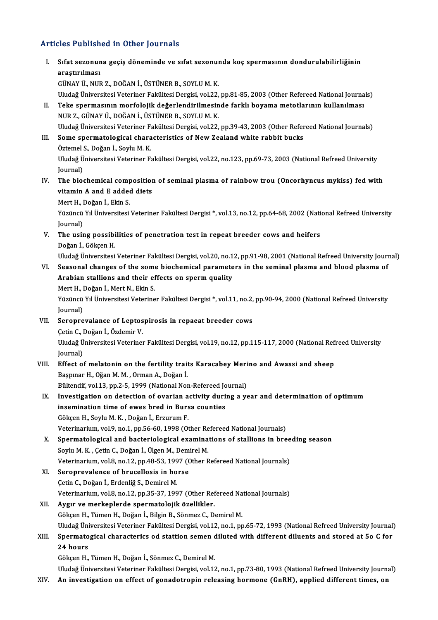# Articles Published in Other Journals

| <b>Articles Published in Other Journals</b> |                                                                                                                                                                                                                                            |
|---------------------------------------------|--------------------------------------------------------------------------------------------------------------------------------------------------------------------------------------------------------------------------------------------|
| Ι.                                          | Sıfat sezonuna geçiş döneminde ve sıfat sezonunda koç spermasının dondurulabilirliğinin<br>araştırılması<br>GÜNAY Ü., NUR Z., DOĞAN İ., ÜSTÜNER B., SOYLU M. K.                                                                            |
| II.                                         | Uludağ Üniversitesi Veteriner Fakültesi Dergisi, vol.22, pp.81-85, 2003 (Other Refereed National Journals)<br>Teke spermasının morfolojik değerlendirilmesinde farklı boyama metotlarının kullanılması                                     |
|                                             | NUR Z., GÜNAY Ü., DOĞAN İ., ÜSTÜNER B., SOYLU M. K.<br>Uludağ Üniversitesi Veteriner Fakültesi Dergisi, vol.22, pp.39-43, 2003 (Other Refereed National Journals)                                                                          |
| III.                                        | Some spermatological characteristics of New Zealand white rabbit bucks<br>Öztemel S., Doğan İ., Soylu M. K.                                                                                                                                |
|                                             | Uludağ Üniversitesi Veteriner Fakültesi Dergisi, vol.22, no.123, pp.69-73, 2003 (National Refreed University<br>Journal)                                                                                                                   |
| IV.                                         | The biochemical composition of seminal plasma of rainbow trou (Oncorhyncus mykiss) fed with<br>vitamin A and E added diets                                                                                                                 |
|                                             | Mert H., Doğan İ., Ekin S.<br>Yüzüncü Yıl Üniversitesi Veteriner Fakültesi Dergisi *, vol.13, no.12, pp.64-68, 2002 (National Refreed University                                                                                           |
| V.                                          | Journal)<br>The using possibilities of penetration test in repeat breeder cows and heifers                                                                                                                                                 |
| VI.                                         | Doğan İ, Gökçen H<br>Uludağ Üniversitesi Veteriner Fakültesi Dergisi, vol.20, no.12, pp.91-98, 2001 (National Refreed University Journal)<br>Seasonal changes of the some biochemical parameters in the seminal plasma and blood plasma of |
|                                             | Arabian stallions and their effects on sperm quality<br>Mert H., Doğan İ., Mert N., Ekin S.                                                                                                                                                |
|                                             | Yüzüncü Yıl Üniversitesi Veteriner Fakültesi Dergisi *, vol.11, no.2, pp.90-94, 2000 (National Refreed University<br>Journal)                                                                                                              |
| VII.                                        | Seroprevalance of Leptospirosis in repaeat breeder cows<br>Çetin C., Doğan İ., Özdemir V.                                                                                                                                                  |
|                                             | Uludağ Üniversitesi Veteriner Fakültesi Dergisi, vol.19, no.12, pp.115-117, 2000 (National Refreed University<br>Journal)                                                                                                                  |
| VIII.                                       | Effect of melatonin on the fertility traits Karacabey Merino and Awassi and sheep<br>Başpınar H., Oğan M. M., Orman A., Doğan İ.                                                                                                           |
| IX.                                         | Bültendif, vol.13, pp.2-5, 1999 (National Non-Refereed Journal)<br>Investigation on detection of ovarian activity during a year and determination of optimum                                                                               |
|                                             | insemination time of ewes bred in Bursa counties<br>Gökçen H., Soylu M. K., Doğan İ., Erzurum F.                                                                                                                                           |
| Χ.                                          | Veterinarium, vol.9, no.1, pp.56-60, 1998 (Other Refereed National Journals)<br>Spermatological and bacteriological examinations of stallions in breeding season                                                                           |
|                                             | Soylu M. K., Çetin C., Doğan İ., Ülgen M., Demirel M.<br>Veterinarium, vol.8, no.12, pp.48-53, 1997 (Other Refereed National Journals)                                                                                                     |
| XI.                                         | Seroprevalence of brucellosis in horse<br>Çetin C., Doğan İ., Erdenliğ S., Demirel M.                                                                                                                                                      |
| XII.                                        | Veterinarium, vol.8, no.12, pp.35-37, 1997 (Other Refereed National Journals)<br>Aygır ve merkeplerde spermatolojik özellikler.                                                                                                            |
|                                             | Gökçen H., Tümen H., Doğan İ., Bilgin B., Sönmez C., Demirel M.<br>Uludağ Üniversitesi Veteriner Fakültesi Dergisi, vol.12, no.1, pp.65-72, 1993 (National Refreed University Journal)                                                     |
| XIII.                                       | Spermatogical characterics od stattion semen diluted with different diluents and stored at 50 C for<br>24 hours                                                                                                                            |
|                                             | Gökçen H., Tümen H., Doğan İ., Sönmez C., Demirel M.                                                                                                                                                                                       |
| XIV.                                        | Uludağ Üniversitesi Veteriner Fakültesi Dergisi, vol.12, no.1, pp.73-80, 1993 (National Refreed University Journal)<br>An investigation on effect of gonadotropin releasing hormone (GnRH), applied different times, on                    |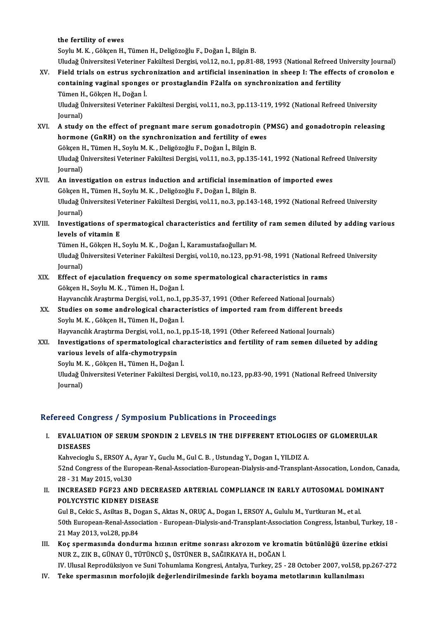the fertility of ewes

Soylu M.K., Gökçen H., Tümen H., Deligözoğlu F., Doğan İ., Bilgin B. Uludağ Üniversitesi Veteriner Fakültesi Dergisi, vol.12, no.1, pp.81-88, 1993 (National Refreed University Journal)

XV. Field trials on estrus sychronization and artificial insenination in sheep I: The effects of cronolon e Uludağ Üniversitesi Veteriner Fakültesi Dergisi, vol.12, no.1, pp.81-88, 1993 (National Refreed U<br>Field trials on estrus sychronization and artificial insenination in sheep I: The effect<br>containing vaginal sponges or prost Field trials on estrus sychm<br>containing vaginal sponges<br>Tümen H., Gökçen H., Doğan İ.<br>Uludağ Üniversitesi Veteriner containing vaginal sponges or prostaglandin F2alfa on synchronization and fertility<br>Tümen H., Gökçen H., Doğan İ.<br>Uludağ Üniversitesi Veteriner Fakültesi Dergisi, vol.11, no.3, pp.113-119, 1992 (National Refreed University

Tümen H<br>Uludağ Ü<br>Journal)<br>A studu Uludağ Üniversitesi Veteriner Fakültesi Dergisi, vol.11, no.3, pp.113-119, 1992 (National Refreed University<br>Journal)<br>XVI. A study on the effect of pregnant mare serum gonadotropin (PMSG) and gonadotropin releasing<br>hormone

- Journal)<br>A study on the effect of pregnant mare serum gonadotropin (I<br>hormone (GnRH) on the synchronization and fertility of ewes<br>Cêkeen H. Tümen H. Seylu M. K., Deligëgeğlu E. Değan İ. Bilgin B. A study on the effect of pregnant mare serum gonadotropi<br>hormone (GnRH) on the synchronization and fertility of ev<br>Gökçen H., Tümen H., Soylu M. K. , Deligözoğlu F., Doğan İ., Bilgin B.<br>Uludağ Üniversitesi Veteriner Felsül hormone (GnRH) on the synchronization and fertility of ewes<br>Gökçen H., Tümen H., Soylu M. K. , Deligözoğlu F., Doğan İ., Bilgin B.<br>Uludağ Üniversitesi Veteriner Fakültesi Dergisi, vol.11, no.3, pp.135-141, 1992 (National R Gökçen H., Tümen H., Soylu M. K., Deligözoğlu F., Doğan İ., Bilgin B. Uludağ Üniversitesi Veteriner Fakültesi Dergisi, vol.11, no.3, pp.135-141, 1992 (National Refr<br>Journal)<br>XVII. An investigation on estrus induction and artificial insemination of imported ewes
- Journal)<br><mark>An investigation on estrus induction and artificial insemina</mark><br>Gökçen H., Tümen H., Soylu M. K. , Deligözoğlu F., Doğan İ., Bilgin B.<br>Uludeğ Üniversitesi Veteriner Felsültesi Dergisi vel 11 no <sup>2</sup> nn 142 Uludağ Üniversitesi Veteriner Fakültesi Dergisi, vol.11, no.3, pp.143-148, 1992 (National Refreed University<br>Journal) Gökçen H., Tümen H., Soylu M. K., Deligözoğlu F., Doğan İ., Bilgin B. Uludağ Üniversitesi Veteriner Fakültesi Dergisi, vol.11, no.3, pp.143-148, 1992 (National Refreed University<br>Journal)<br>XVIII. Investigations of spermatogical characteristics and fertility of ram semen diluted by adding vari

## Journal)<br>Investigations of sp<br>levels of vitamin E<br>Tümen H. Cäksen H Investigations of spermatogical characteristics and fertility<br>levels of vitamin E<br>Tümen H., Gökçen H., Soylu M. K. , Doğan İ., Karamustafaoğulları M.<br>Uludağ Üniversitesi Veteriner Felsültesi Dergisi vel 10 ne 122 nn O

levels of vitamin E<br>Tümen H., Gökçen H., Soylu M. K. , Doğan İ., Karamustafaoğulları M.<br>Uludağ Üniversitesi Veteriner Fakültesi Dergisi, vol.10, no.123, pp.91-98, 1991 (National Refreed University<br>Journal) Tümen H., Gökçen H., Soylu M. K., Doğan İ., Karamustafaoğulları M. Uludağ Üniversitesi Veteriner Fakültesi Dergisi, vol.10, no.123, pp.91-98, 1991 (National Re<br>Journal)<br>XIX. Effect of ejaculation frequency on some spermatological characteristics in rams<br>Cölsen H. Sorlu M.K. Tümen H. Doğan

Journal)<br>Effect of ejaculation frequency on sor<br>Gökçen H., Soylu M. K. , Tümen H., Doğan İ.<br>Hawançılık Arastuma Dorgisi val 1 no 1 r Effect of ejaculation frequency on some spermatological characteristics in rams<br>Gökçen H., Soylu M. K. , Tümen H., Doğan İ.<br>Hayvancılık Araştırma Dergisi, vol.1, no.1, pp.35-37, 1991 (Other Refereed National Journals)<br>Stud

Gökçen H., Soylu M. K. , Tümen H., Doğan İ.<br>Hayvancılık Araştırma Dergisi, vol.1, no.1, pp.35-37, 1991 (Other Refereed National Journals)<br>XX. Studies on some andrological characteristics of imported ram from different bree Hayvancılık Araştırma Dergisi, vol.1, no.1, p<br>Studies on some andrological charact<br>Soylu M. K. , Gökçen H., Tümen H., Doğan İ.<br>Hayvangılık Arastırma Dergisi, vol.1, no.1, r Studies on some andrological characteristics of imported ram from different breed<br>Soylu M. K. , Gökçen H., Tümen H., Doğan İ.<br>Hayvancılık Araştırma Dergisi, vol.1, no.1, pp.15-18, 1991 (Other Refereed National Journals)<br>In

Soylu M. K. , Gökçen H., Tümen H., Doğan İ.<br>Hayvancılık Araştırma Dergisi, vol.1, no.1, pp.15-18, 1991 (Other Refereed National Journals)<br>XXI. Investigations of spermatological characteristics and fertility of ram seme Hayvancılık Araştırma Dergisi, vol.1, no.1<br>Investigations of spermatological ch<br>various levels of alfa-chymotrypsin<br>Seulu M.K. Cöksen H. Tümen H. Değen Investigations of spermatological cha<br>various levels of alfa-chymotrypsin<br>Soylu M. K. , Gökçen H., Tümen H., Doğan İ.<br>Uludağ Üniversitesi Veteriner Fakültesi Da

**various levels of alfa-chymotrypsin**<br>Soylu M. K. , Gökçen H., Tümen H., Doğan İ.<br>Uludağ Üniversitesi Veteriner Fakültesi Dergisi, vol.10, no.123, pp.83-90, 1991 (National Refreed University<br>Journal) Soylu M.<br>Uludağ Ü<br>Journal)

# Journal)<br>Refereed Congress / Symposium Publications in Proceedings

efereed Congress / Symposium Publications in Proceedings<br>I. EVALUATION OF SERUM SPONDIN 2 LEVELS IN THE DIFFERENT ETIOLOGIES OF GLOMERULAR EVALUATI<br>DISEASES<br>Kabuccioch DISEASES<br>Kahvecioglu S., ERSOY A., Ayar Y., Guclu M., Gul C. B. , Ustundag Y., Dogan I., YILDIZ A.

DISEASES<br>Kahvecioglu S., ERSOY A., Ayar Y., Guclu M., Gul C. B. , Ustundag Y., Dogan I., YILDIZ A.<br>52nd Congress of the European-Renal-Association-European-Dialysis-and-Transplant-Assocation, London, Canada,<br>28 . 31 May 20 Kahvecioglu S., ERSOY A.,<br>52nd Congress of the Eur<br>28 - 31 May 2015, vol.30<br>INCREASED ECE22 AN S2nd Congress of the European-Renal-Association-European-Dialysis-and-Transplant-Assocation, London, Can<br>28 - 31 May 2015, vol.30<br>II. INCREASED FGF23 AND DECREASED ARTERIAL COMPLIANCE IN EARLY AUTOSOMAL DOMINANT<br>ROLYCYSTIC

28 - 31 May 2015, vol.30<br>II. INCREASED FGF23 AND DECREASED ARTERIAL COMPLIANCE IN EARLY AUTOSOMAL DOMINANT<br>POLYCYSTIC KIDNEY DISEASE INCREASED FGF23 AND DECREASED ARTERIAL COMPLIANCE IN EARLY AUTOSOMAL DOM<br>POLYCYSTIC KIDNEY DISEASE<br>Gul B., Cekic S., Asiltas B., Dogan S., Aktas N., ORUÇ A., Dogan I., ERSOY A., Gululu M., Yurtkuran M., et al.<br>E0th Europea

50th European-Renal-Association - European-Dialysis-and-Transplant-Association Congress, İstanbul, Turkey, 18 -<br>21 May 2013, vol.28, pp.84 Gul B., Cekic S., Asiltas B., Do<br>50th European-Renal-Assoc<br>21 May 2013, vol.28, pp.84<br>Kes apermasunda dandu:

III. Koç spermasında dondurma hızının eritme sonrası akrozom ve kromatin bütünlüğü üzerine etkisi NURZ.,ZIKB.,GÜNAYÜ.,TÜTÜNCÜŞ.,ÜSTÜNERB.,SAĞIRKAYAH.,DOĞANİ.

IV. Ulusal Reprodüksiyon ve Suni Tohumlama Kongresi, Antalya, Turkey, 25 - 28 October 2007, vol.58, pp.267-272

IV. Teke spermasının morfolojik değerlendirilmesinde farklı boyama metotlarının kullanılması